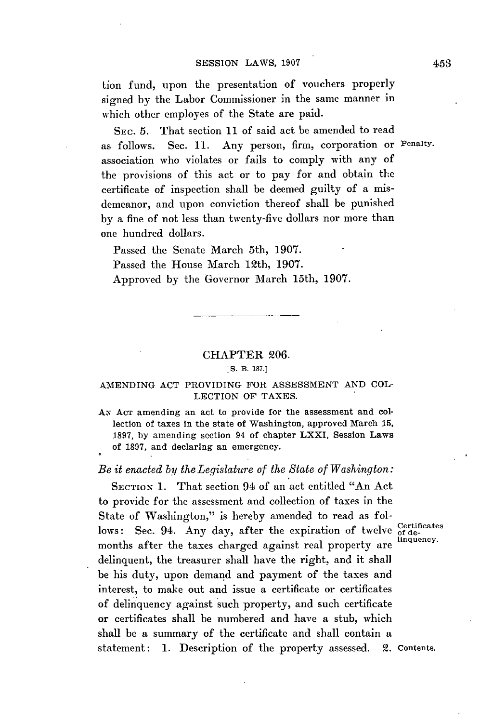tion fund, upon the presentation of vouchers properly signed **by** the Labor Commissioner in the same manner in which other employes of the State are paid.

SEc. **5.** That section **11** of said act **be** amended to read as follows. Sec. **11.** Any person, firm, corporation or Penalty. association who violates or fails to comply with any of the provisions of this act or to pay for and obtain the certificate of inspection shall be deemed guilty of a misdemeanor, and upon conviction thereof shall be punished **by** a fine of not less than twenty-five dollars nor more than one hundred dollars.

Passed the Senate March 5th, **1907.** Passed the House March 12th, **1907.** Approved **by** the Governor March 15th, **1907.**

#### CHAPTER **206.**

### **[ S.** B. **187.]**

### **AMENDING ACT** PROVIDING FOR **ASSESSMENT AND COL-LECTION** OF **TAXES.**

**AN ACT** amending an act to provide for the assessment and collection of taxes in the state of Washington, approved March **15, 1897, by** amending section 94 of chapter LXXI, Session Laws of **1897,** and declaring an emergency.

## *Be it enacted by the Legislature of the State of Washington:*

SECTION **1.** That section 94 of an act entitled "An Act to provide for the assessment and collection of taxes in the State of Washington," is hereby amended to read as follows: Sec. 94. Any day, after the expiration of twelve of determinates months after the taxes charged against real property are delinquent, the treasurer shall have the right, and it shall be his duty, upon demand and payment of the taxes and interest, to make out and issue a certificate or certificates of delinquency against such property, and such certificate or certificates shall be numbered and have a stub, which shall be a summary of the certificate and shall contain a statement: 1. Description of the property assessed. 2. Contents.